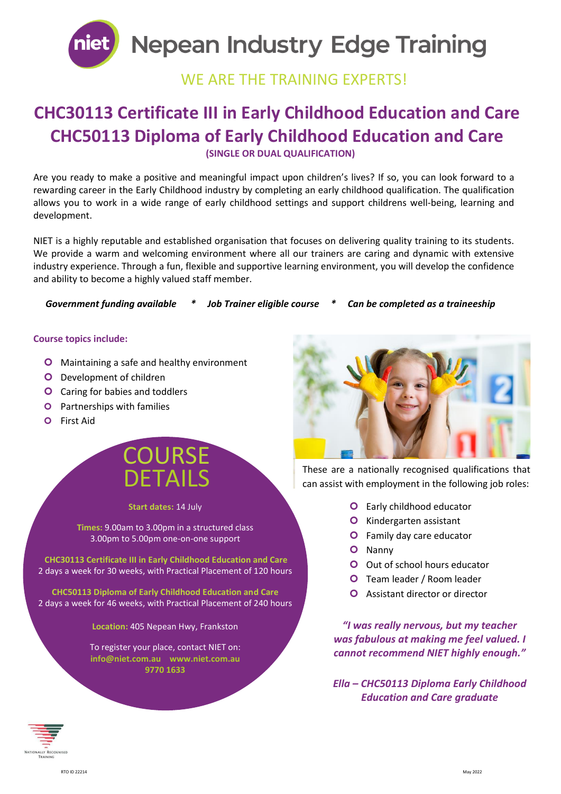**Nepean Industry Edge Training** 

WE ARE THE TRAINING EXPERTS!

# **CHC30113 Certificate III in Early Childhood Education and Care CHC50113 Diploma of Early Childhood Education and Care**

**(SINGLE OR DUAL QUALIFICATION)**

Are you ready to make a positive and meaningful impact upon children's lives? If so, you can look forward to a rewarding career in the Early Childhood industry by completing an early childhood qualification. The qualification allows you to work in a wide range of early childhood settings and support childrens well-being, learning and development.

NIET is a highly reputable and established organisation that focuses on delivering quality training to its students. We provide a warm and welcoming environment where all our trainers are caring and dynamic with extensive industry experience. Through a fun, flexible and supportive learning environment, you will develop the confidence and ability to become a highly valued staff member.

*Government funding available \* Job Trainer eligible course \* Can be completed as a traineeship*

#### **Course topics include:**

- **O** Maintaining a safe and healthy environment
- **O** Development of children
- **O** Caring for babies and toddlers
- **O** Partnerships with families
- First Aid



**Times:** 9.00am to 3.00pm in a structured class 3.00pm to 5.00pm one-on-one support

**CHC30113 Certificate III in Early Childhood Education and Care** 2 days a week for 30 weeks, with Practical Placement of 120 hours

**CHC50113 Diploma of Early Childhood Education and Care** 2 days a week for 46 weeks, with Practical Placement of 240 hours

**Location:** 405 Nepean Hwy, Frankston

To register your place, contact NIET on: **[info@niet.com.au](mailto:info@niet.com.au) www.niet.com.au 9770 1633** 



These are a nationally recognised qualifications that can assist with employment in the following job roles:

- **O** Early childhood educator
- **O** Kindergarten assistant
- **O** Family day care educator
- O Nanny
- Out of school hours educator
- Team leader / Room leader
- **O** Assistant director or director

*"I was really nervous, but my teacher was fabulous at making me feel valued. I cannot recommend NIET highly enough."*

*Ella – CHC50113 Diploma Early Childhood Education and Care graduate*

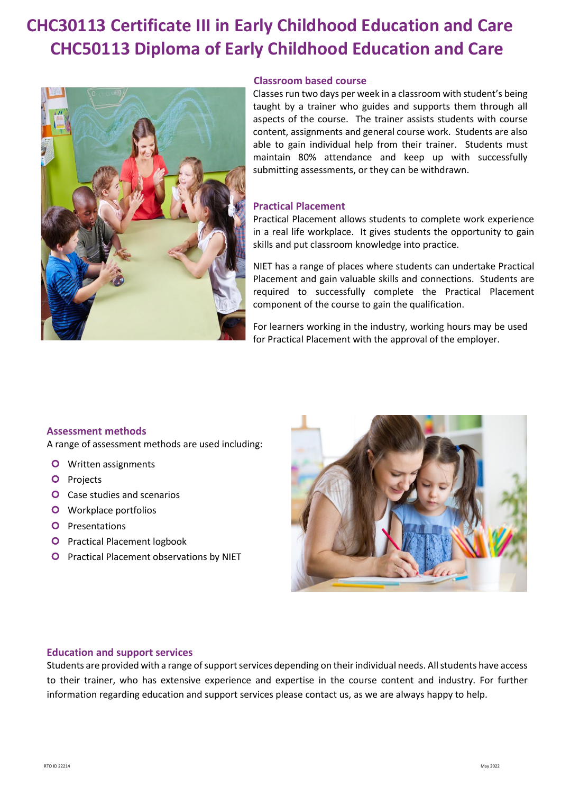# **CHC30113 Certificate III in Early Childhood Education and Care CHC50113 Diploma of Early Childhood Education and Care**



#### **Classroom based course**

Classes run two days per week in a classroom with student's being taught by a trainer who guides and supports them through all aspects of the course. The trainer assists students with course content, assignments and general course work. Students are also able to gain individual help from their trainer. Students must maintain 80% attendance and keep up with successfully submitting assessments, or they can be withdrawn.

#### **Practical Placement**

Practical Placement allows students to complete work experience in a real life workplace. It gives students the opportunity to gain skills and put classroom knowledge into practice.

NIET has a range of places where students can undertake Practical Placement and gain valuable skills and connections. Students are required to successfully complete the Practical Placement component of the course to gain the qualification.

For learners working in the industry, working hours may be used for Practical Placement with the approval of the employer.

#### **Assessment methods**

A range of assessment methods are used including:

- **O** Written assignments
- O Projects
- **O** Case studies and scenarios
- **O** Workplace portfolios
- **O** Presentations
- **O** Practical Placement logbook
- **O** Practical Placement observations by NIET



#### **Education and support services**

Students are provided with a range of support services depending on their individual needs. All students have access to their trainer, who has extensive experience and expertise in the course content and industry. For further information regarding education and support services please contact us, as we are always happy to help.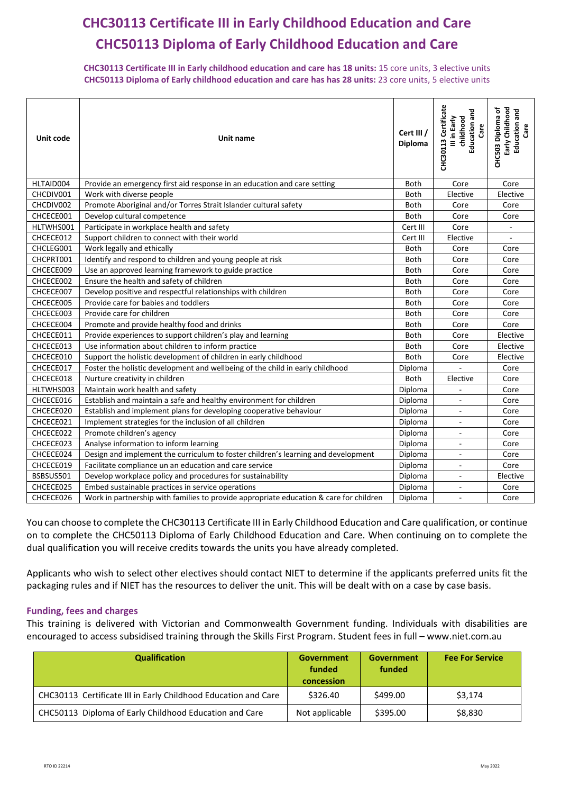### **CHC30113 Certificate III in Early Childhood Education and Care CHC50113 Diploma of Early Childhood Education and Care**

**CHC30113 Certificate III in Early childhood education and care has 18 units:** 15 core units, 3 elective units **CHC50113 Diploma of Early childhood education and care has has 28 units:** 23 core units, 5 elective units

| Unit code | Unit name                                                                              | Cert III /<br><b>Diploma</b> | CHC30113 Certificate<br>Education and<br>childhood<br>III in Early<br>Care | Early Childhood<br>CHC503 Diploma of<br>Education and<br>Care |
|-----------|----------------------------------------------------------------------------------------|------------------------------|----------------------------------------------------------------------------|---------------------------------------------------------------|
| HLTAID004 | Provide an emergency first aid response in an education and care setting               | Both                         | Core                                                                       | Core                                                          |
| CHCDIV001 | Work with diverse people                                                               | <b>Both</b>                  | Elective                                                                   | Elective                                                      |
| CHCDIV002 | Promote Aboriginal and/or Torres Strait Islander cultural safety                       | <b>Both</b>                  | Core                                                                       | Core                                                          |
| CHCECE001 | Develop cultural competence                                                            | Both                         | Core                                                                       | Core                                                          |
| HLTWHS001 | Participate in workplace health and safety                                             | Cert III                     | Core                                                                       |                                                               |
| CHCECE012 | Support children to connect with their world                                           | Cert III                     | Elective                                                                   |                                                               |
| CHCLEG001 | Work legally and ethically                                                             | <b>Both</b>                  | Core                                                                       | Core                                                          |
| CHCPRT001 | Identify and respond to children and young people at risk                              | Both                         | Core                                                                       | Core                                                          |
| CHCECE009 | Use an approved learning framework to guide practice                                   | Both                         | Core                                                                       | Core                                                          |
| CHCECE002 | Ensure the health and safety of children                                               | <b>Both</b>                  | Core                                                                       | Core                                                          |
| CHCECE007 | Develop positive and respectful relationships with children                            | <b>Both</b>                  | Core                                                                       | Core                                                          |
| CHCECE005 | Provide care for babies and toddlers                                                   | <b>Both</b>                  | Core                                                                       | Core                                                          |
| CHCECE003 | Provide care for children                                                              | Both                         | Core                                                                       | Core                                                          |
| CHCECE004 | Promote and provide healthy food and drinks                                            | <b>Both</b>                  | Core                                                                       | Core                                                          |
| CHCECE011 | Provide experiences to support children's play and learning                            | <b>Both</b>                  | Core                                                                       | Elective                                                      |
| CHCECE013 | Use information about children to inform practice                                      | <b>Both</b>                  | Core                                                                       | Elective                                                      |
| CHCECE010 | Support the holistic development of children in early childhood                        | <b>Both</b>                  | Core                                                                       | Elective                                                      |
| CHCECE017 | Foster the holistic development and wellbeing of the child in early childhood          | Diploma                      |                                                                            | Core                                                          |
| CHCECE018 | Nurture creativity in children                                                         | <b>Both</b>                  | Elective                                                                   | Core                                                          |
| HLTWHS003 | Maintain work health and safety                                                        | Diploma                      |                                                                            | Core                                                          |
| CHCECE016 | Establish and maintain a safe and healthy environment for children                     | Diploma                      |                                                                            | Core                                                          |
| CHCECE020 | Establish and implement plans for developing cooperative behaviour                     | Diploma                      |                                                                            | Core                                                          |
| CHCECE021 | Implement strategies for the inclusion of all children                                 | Diploma                      |                                                                            | Core                                                          |
| CHCECE022 | Promote children's agency                                                              | Diploma                      | $\overline{a}$                                                             | Core                                                          |
| CHCECE023 | Analyse information to inform learning                                                 | Diploma                      | ÷.                                                                         | Core                                                          |
| CHCECE024 | Design and implement the curriculum to foster children's learning and development      | Diploma                      |                                                                            | Core                                                          |
| CHCECE019 | Facilitate compliance un an education and care service                                 | Diploma                      |                                                                            | Core                                                          |
| BSBSUS501 | Develop workplace policy and procedures for sustainability                             | Diploma                      |                                                                            | Elective                                                      |
| CHCECE025 | Embed sustainable practices in service operations                                      | Diploma                      |                                                                            | Core                                                          |
| CHCECE026 | Work in partnership with families to provide appropriate education & care for children | Diploma                      |                                                                            | Core                                                          |

You can choose to complete the CHC30113 Certificate III in Early Childhood Education and Care qualification, or continue on to complete the CHC50113 Diploma of Early Childhood Education and Care. When continuing on to complete the dual qualification you will receive credits towards the units you have already completed.

Applicants who wish to select other electives should contact NIET to determine if the applicants preferred units fit the packaging rules and if NIET has the resources to deliver the unit. This will be dealt with on a case by case basis.

#### **Funding, fees and charges**

This training is delivered with Victorian and Commonwealth Government funding. Individuals with disabilities are encouraged to access subsidised training through the Skills First Program. Student fees in full – www[.niet.com.au](http://www.niet.com.au/)

| <b>Qualification</b>                                           | <b>Government</b><br>funded<br>concession | <b>Government</b><br>funded | <b>Fee For Service</b> |
|----------------------------------------------------------------|-------------------------------------------|-----------------------------|------------------------|
| CHC30113 Certificate III in Early Childhood Education and Care | \$326.40                                  | \$499.00                    | \$3,174                |
| CHC50113 Diploma of Early Childhood Education and Care         | Not applicable                            | \$395.00                    | \$8,830                |